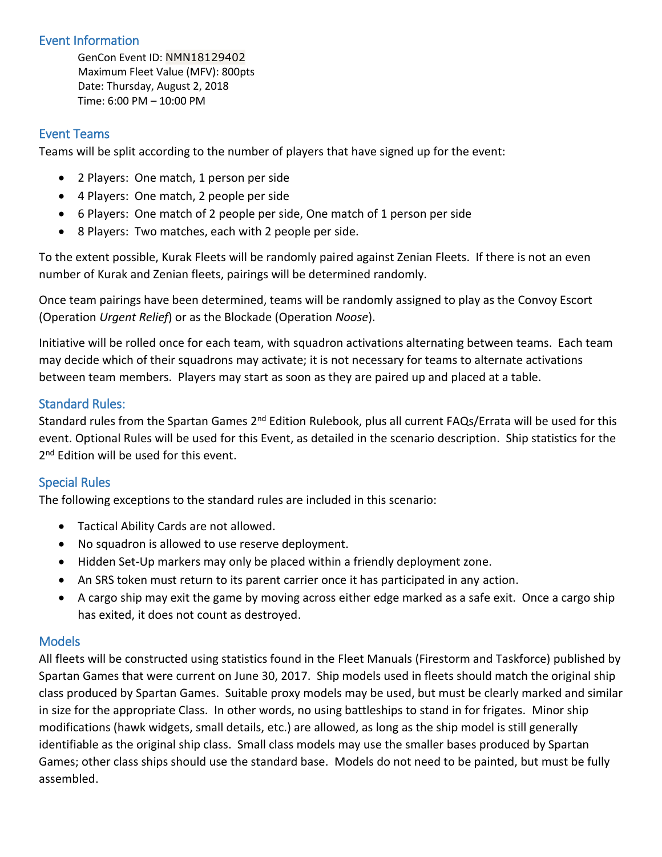### Event Information

GenCon Event ID: NMN18129402 Maximum Fleet Value (MFV): 800pts Date: Thursday, August 2, 2018 Time: 6:00 PM – 10:00 PM

## Event Teams

Teams will be split according to the number of players that have signed up for the event:

- 2 Players: One match, 1 person per side
- 4 Players: One match, 2 people per side
- 6 Players: One match of 2 people per side, One match of 1 person per side
- 8 Players: Two matches, each with 2 people per side.

To the extent possible, Kurak Fleets will be randomly paired against Zenian Fleets. If there is not an even number of Kurak and Zenian fleets, pairings will be determined randomly.

Once team pairings have been determined, teams will be randomly assigned to play as the Convoy Escort (Operation *Urgent Relief*) or as the Blockade (Operation *Noose*).

Initiative will be rolled once for each team, with squadron activations alternating between teams. Each team may decide which of their squadrons may activate; it is not necessary for teams to alternate activations between team members. Players may start as soon as they are paired up and placed at a table.

#### Standard Rules:

Standard rules from the Spartan Games 2<sup>nd</sup> Edition Rulebook, plus all current FAQs/Errata will be used for this event. Optional Rules will be used for this Event, as detailed in the scenario description. Ship statistics for the 2<sup>nd</sup> Edition will be used for this event.

## Special Rules

The following exceptions to the standard rules are included in this scenario:

- Tactical Ability Cards are not allowed.
- No squadron is allowed to use reserve deployment.
- Hidden Set-Up markers may only be placed within a friendly deployment zone.
- An SRS token must return to its parent carrier once it has participated in any action.
- A cargo ship may exit the game by moving across either edge marked as a safe exit. Once a cargo ship has exited, it does not count as destroyed.

#### **Models**

All fleets will be constructed using statistics found in the Fleet Manuals (Firestorm and Taskforce) published by Spartan Games that were current on June 30, 2017. Ship models used in fleets should match the original ship class produced by Spartan Games. Suitable proxy models may be used, but must be clearly marked and similar in size for the appropriate Class. In other words, no using battleships to stand in for frigates. Minor ship modifications (hawk widgets, small details, etc.) are allowed, as long as the ship model is still generally identifiable as the original ship class. Small class models may use the smaller bases produced by Spartan Games; other class ships should use the standard base. Models do not need to be painted, but must be fully assembled.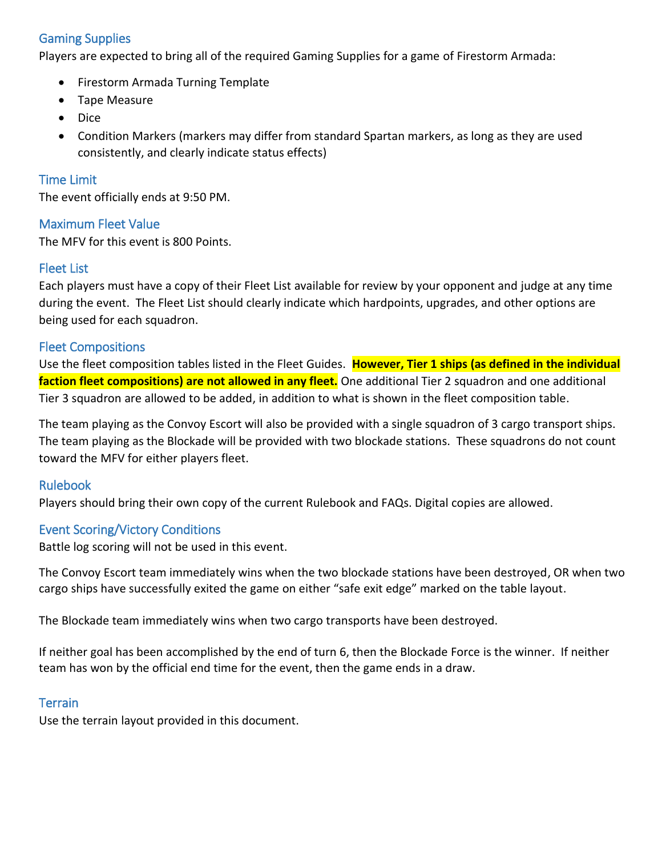## Gaming Supplies

Players are expected to bring all of the required Gaming Supplies for a game of Firestorm Armada:

- Firestorm Armada Turning Template
- Tape Measure
- Dice
- Condition Markers (markers may differ from standard Spartan markers, as long as they are used consistently, and clearly indicate status effects)

#### Time Limit

The event officially ends at 9:50 PM.

#### Maximum Fleet Value

The MFV for this event is 800 Points.

#### Fleet List

Each players must have a copy of their Fleet List available for review by your opponent and judge at any time during the event. The Fleet List should clearly indicate which hardpoints, upgrades, and other options are being used for each squadron.

#### Fleet Compositions

Use the fleet composition tables listed in the Fleet Guides. **However, Tier 1 ships (as defined in the individual faction fleet compositions) are not allowed in any fleet.** One additional Tier 2 squadron and one additional Tier 3 squadron are allowed to be added, in addition to what is shown in the fleet composition table.

The team playing as the Convoy Escort will also be provided with a single squadron of 3 cargo transport ships. The team playing as the Blockade will be provided with two blockade stations. These squadrons do not count toward the MFV for either players fleet.

#### Rulebook

Players should bring their own copy of the current Rulebook and FAQs. Digital copies are allowed.

#### Event Scoring/Victory Conditions

Battle log scoring will not be used in this event.

The Convoy Escort team immediately wins when the two blockade stations have been destroyed, OR when two cargo ships have successfully exited the game on either "safe exit edge" marked on the table layout.

The Blockade team immediately wins when two cargo transports have been destroyed.

If neither goal has been accomplished by the end of turn 6, then the Blockade Force is the winner. If neither team has won by the official end time for the event, then the game ends in a draw.

#### **Terrain**

Use the terrain layout provided in this document.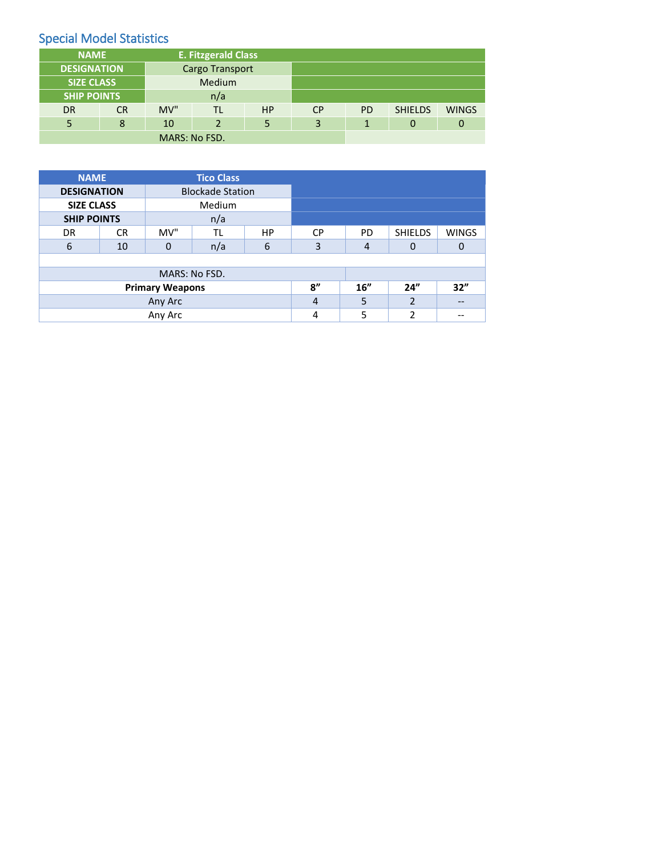# Special Model Statistics

| <b>NAME</b>        |           | <b>E. Fitzgerald Class</b> |                |           |           |              |                |              |
|--------------------|-----------|----------------------------|----------------|-----------|-----------|--------------|----------------|--------------|
| <b>DESIGNATION</b> |           | <b>Cargo Transport</b>     |                |           |           |              |                |              |
| <b>SIZE CLASS</b>  |           | <b>Medium</b>              |                |           |           |              |                |              |
| <b>SHIP POINTS</b> |           | n/a                        |                |           |           |              |                |              |
| <b>DR</b>          | <b>CR</b> | MV"                        | TL             | <b>HP</b> | <b>CP</b> | <b>PD</b>    | <b>SHIELDS</b> | <b>WINGS</b> |
|                    | 8         | 10                         | $\overline{2}$ | 5         | 3         | $\mathbf{1}$ | 0              | 0            |
| MARS: No FSD.      |           |                            |                |           |           |              |                |              |

| <b>NAME</b>        |           | <b>Tico Class</b> |                         |           |           |                |                |              |
|--------------------|-----------|-------------------|-------------------------|-----------|-----------|----------------|----------------|--------------|
| <b>DESIGNATION</b> |           |                   | <b>Blockade Station</b> |           |           |                |                |              |
| <b>SIZE CLASS</b>  |           | <b>Medium</b>     |                         |           |           |                |                |              |
| <b>SHIP POINTS</b> |           | n/a               |                         |           |           |                |                |              |
| DR                 | <b>CR</b> | MV"               | TL                      | <b>HP</b> | <b>CP</b> | <b>PD</b>      | <b>SHIELDS</b> | <b>WINGS</b> |
| 6                  | 10        | $\mathbf 0$       | n/a                     | 6         | 3         | $\overline{4}$ | $\Omega$       | $\Omega$     |
|                    |           |                   |                         |           |           |                |                |              |
|                    |           |                   |                         |           |           |                |                |              |
|                    | 8''       | 16"               | 24"                     | 32"       |           |                |                |              |
|                    | 4         | 5                 | $\overline{2}$          |           |           |                |                |              |
| Any Arc            |           |                   |                         |           | 4         | 5              | 2              |              |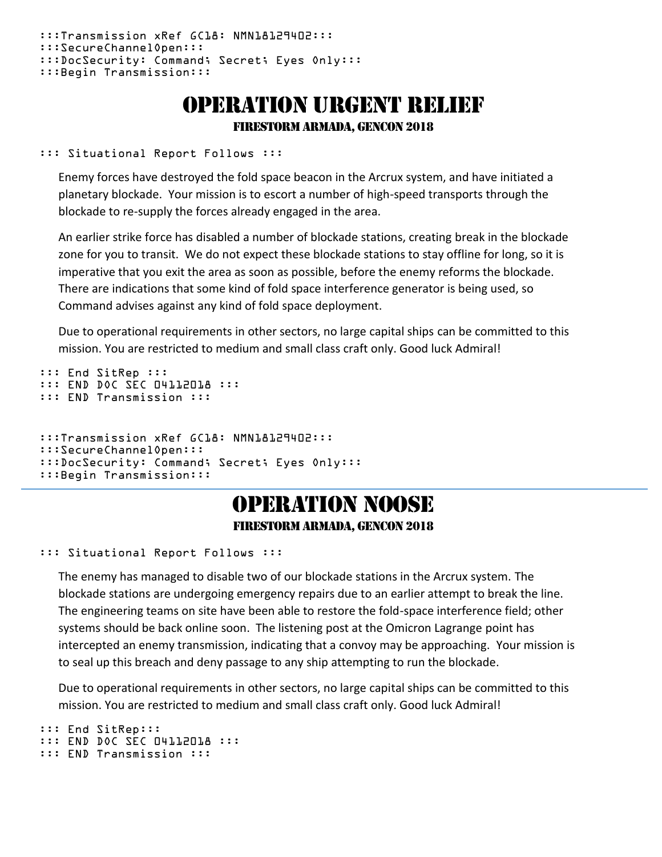```
:::Transmission xRef GC18: NMN18129402:::
:::SecureChannelOpen:::
:::DocSecurity: Command; Secret; Eyes Only:::
:::Begin Transmission:::
```
# Operation urgent relief Firestorm Armada, GenCon 2018

::: Situational Report Follows :::

Enemy forces have destroyed the fold space beacon in the Arcrux system, and have initiated a planetary blockade. Your mission is to escort a number of high-speed transports through the blockade to re-supply the forces already engaged in the area.

An earlier strike force has disabled a number of blockade stations, creating break in the blockade zone for you to transit. We do not expect these blockade stations to stay offline for long, so it is imperative that you exit the area as soon as possible, before the enemy reforms the blockade. There are indications that some kind of fold space interference generator is being used, so Command advises against any kind of fold space deployment.

Due to operational requirements in other sectors, no large capital ships can be committed to this mission. You are restricted to medium and small class craft only. Good luck Admiral!

```
::: End SitRep :::
::: END DOC SEC 04112018 :::
::: END Transmission :::
:::Transmission xRef GC18: NMN18129402:::
:::SecureChannelOpen:::
:::DocSecurity: Command; Secret; Eyes Only:::
:::Begin Transmission:::
```
# Operation Noose Firestorm Armada, GenCon 2018

#### ::: Situational Report Follows :::

The enemy has managed to disable two of our blockade stations in the Arcrux system. The blockade stations are undergoing emergency repairs due to an earlier attempt to break the line. The engineering teams on site have been able to restore the fold-space interference field; other systems should be back online soon. The listening post at the Omicron Lagrange point has intercepted an enemy transmission, indicating that a convoy may be approaching. Your mission is to seal up this breach and deny passage to any ship attempting to run the blockade.

Due to operational requirements in other sectors, no large capital ships can be committed to this mission. You are restricted to medium and small class craft only. Good luck Admiral!

```
::: End SitRep::: 
::: END DOC SEC 04112018 :::
::: END Transmission :::
```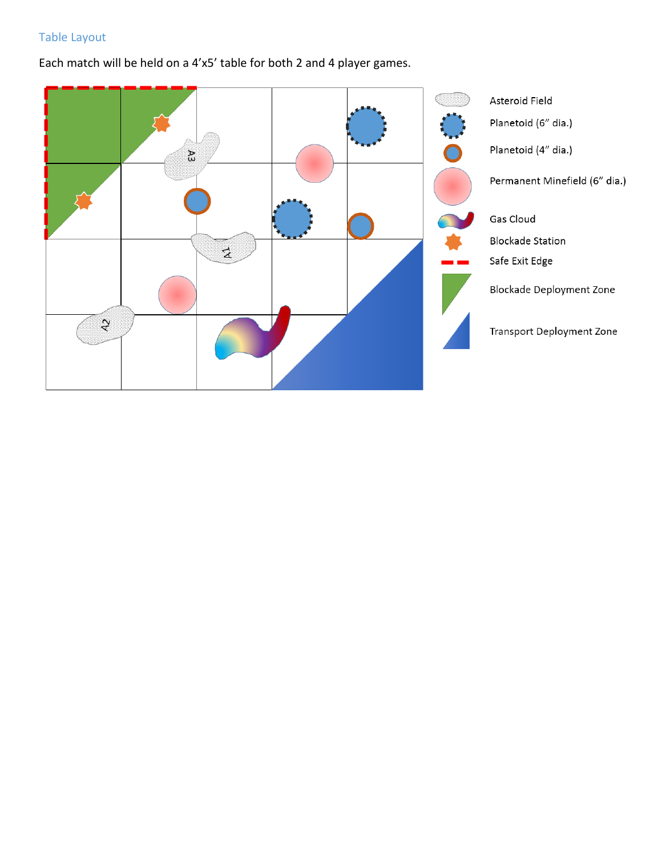# Table Layout

Each match will be held on a 4'x5' table for both 2 and 4 player games.

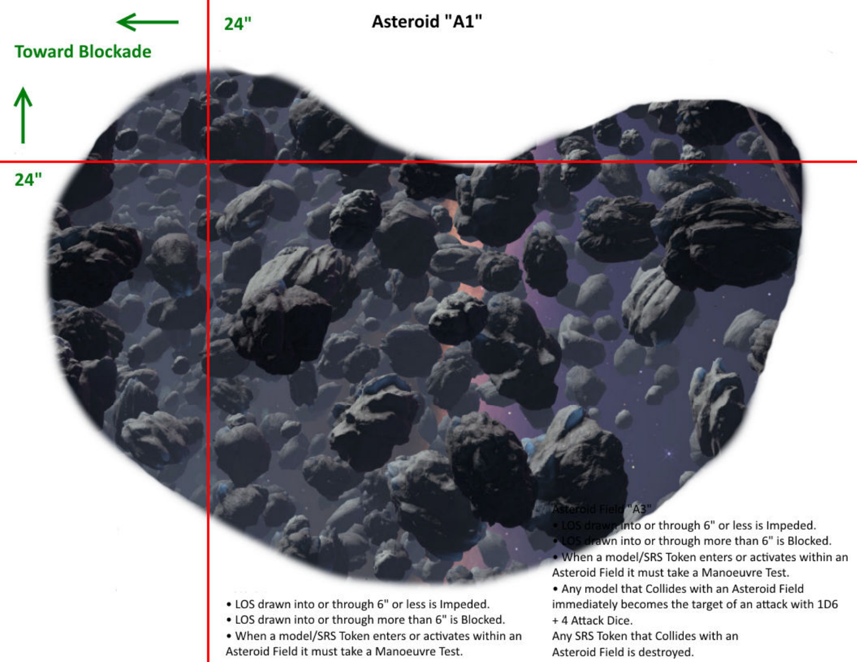

- LOS drawn into or through more than 6" is Blocked.
- When a model/SRS Token enters or activates within an Asteroid Field it must take a Manoeuvre Test.

Any SRS Token that Collides with an Asteroid Field is destroyed.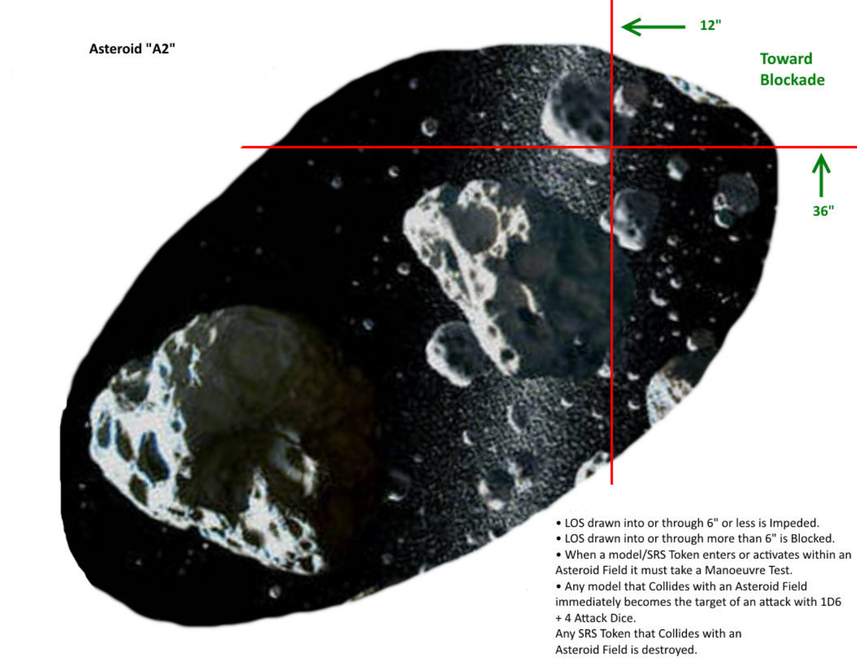$12"$ 

 $36"$ 

- LOS drawn into or through 6" or less is Impeded.
- LOS drawn into or through more than 6" is Blocked.
- . When a model/SRS Token enters or activates within an Asteroid Field it must take a Manoeuvre Test.
- . Any model that Collides with an Asteroid Field immediately becomes the target of an attack with 1D6 + 4 Attack Dice.

Any SRS Token that Collides with an Asteroid Field is destroyed.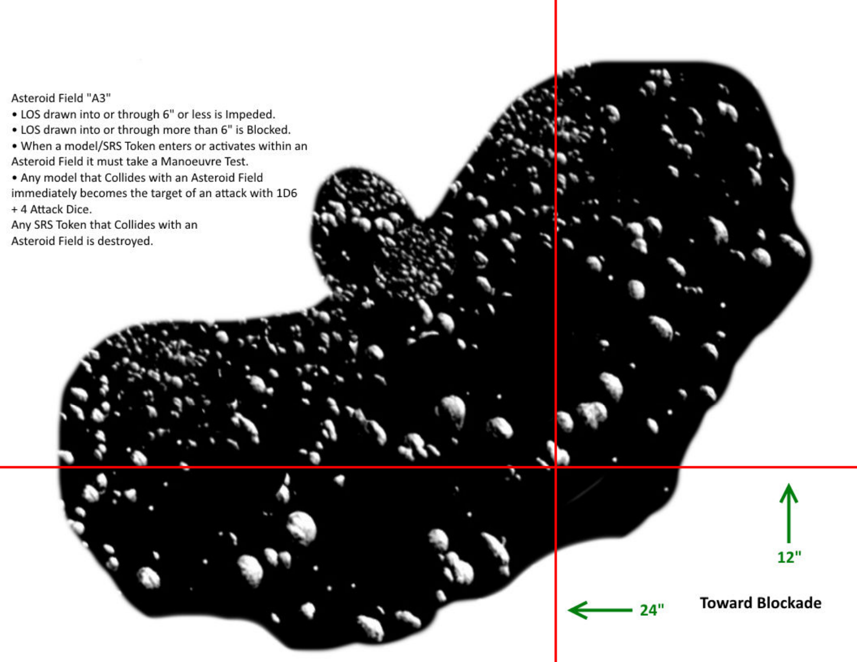#### Asteroid Field "A3"

- LOS drawn into or through 6" or less is Impeded.
- LOS drawn into or through more than 6" is Blocked.
- When a model/SRS Token enters or activates within an Asteroid Field it must take a Manoeuvre Test.
- . Any model that Collides with an Asteroid Field immediately becomes the target of an attack with 1D6 + 4 Attack Dice.
- Any SRS Token that Collides with an Asteroid Field is destroyed.





 $24"$